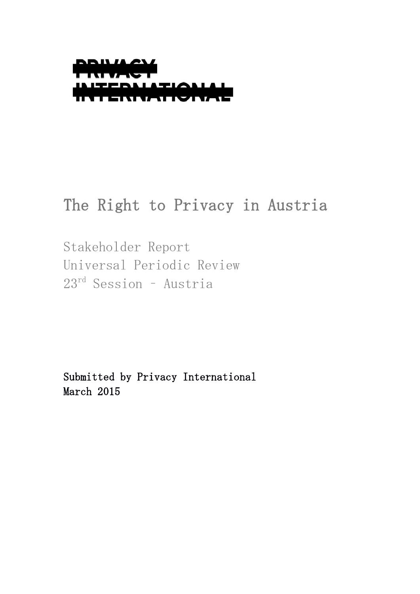

# The Right to Privacy in Austria

Stakeholder Report Universal Periodic Review 23rd Session – Austria

Submitted by Privacy International March 2015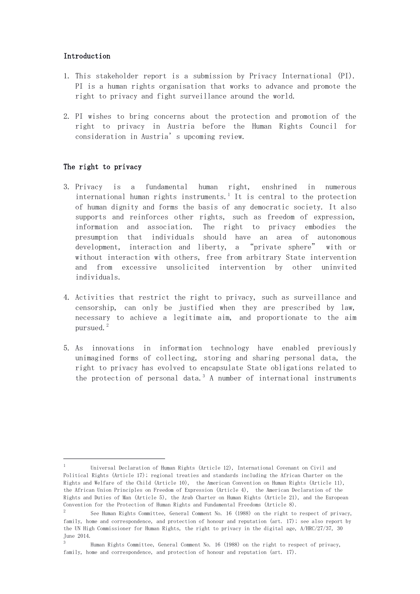# Introduction

- 1. This stakeholder report is a submission by Privacy International (PI). PI is a human rights organisation that works to advance and promote the right to privacy and fight surveillance around the world.
- 2. PI wishes to bring concerns about the protection and promotion of the right to privacy in Austria before the Human Rights Council for consideration in Austria's upcoming review.

# The right to privacy

<u>.</u>

- 3. Privacy is a fundamental human right, enshrined in numerous international human rights instruments.<sup>1</sup> It is central to the protection of human dignity and forms the basis of any democratic society. It also supports and reinforces other rights, such as freedom of expression, information and association. The right to privacy embodies the presumption that individuals should have an area of autonomous development, interaction and liberty, a "private sphere" with or without interaction with others, free from arbitrary State intervention and from excessive unsolicited intervention by other uninvited individuals.
- 4. Activities that restrict the right to privacy, such as surveillance and censorship, can only be justified when they are prescribed by law, necessary to achieve a legitimate aim, and proportionate to the aim pursued. $^{2}$
- 5. As innovations in information technology have enabled previously unimagined forms of collecting, storing and sharing personal data, the right to privacy has evolved to encapsulate State obligations related to the protection of personal data.<sup>3</sup> A number of international instruments

<sup>1</sup> Universal Declaration of Human Rights (Article 12), International Covenant on Civil and Political Rights (Article 17); regional treaties and standards including the African Charter on the Rights and Welfare of the Child (Article 10), the American Convention on Human Rights (Article 11), the African Union Principles on Freedom of Expression (Article 4), the American Declaration of the Rights and Duties of Man (Article 5), the Arab Charter on Human Rights (Article 21), and the European Convention for the Protection of Human Rights and Fundamental Freedoms (Article 8).

<sup>2</sup> See Human Rights Committee, General Comment No. 16 (1988) on the right to respect of privacy, family, home and correspondence, and protection of honour and reputation (art. 17); see also report by the UN High Commissioner for Human Rights, the right to privacy in the digital age, A/HRC/27/37, 30 June 2014.

<sup>3</sup> Human Rights Committee, General Comment No. 16 (1988) on the right to respect of privacy, family, home and correspondence, and protection of honour and reputation (art. 17).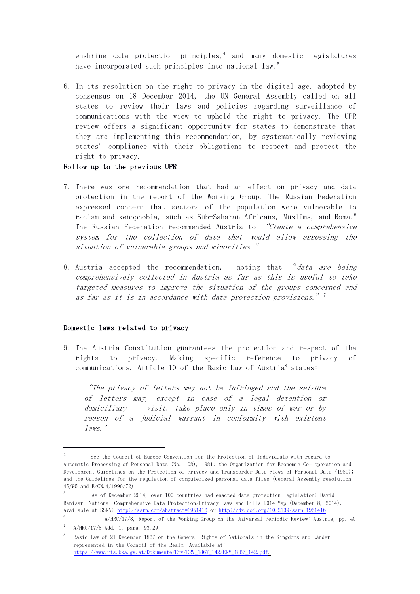enshrine data protection principles, $<sup>4</sup>$  and many domestic legislatures</sup> have incorporated such principles into national law.<sup>5</sup>

6. In its resolution on the right to privacy in the digital age, adopted by consensus on 18 December 2014, the UN General Assembly called on all states to review their laws and policies regarding surveillance of communications with the view to uphold the right to privacy. The UPR review offers a significant opportunity for states to demonstrate that they are implementing this recommendation, by systematically reviewing states' compliance with their obligations to respect and protect the right to privacy.

#### Follow up to the previous UPR

- 7. There was one recommendation that had an effect on privacy and data protection in the report of the Working Group. The Russian Federation expressed concern that sectors of the population were vulnerable to racism and xenophobia, such as Sub-Saharan Africans, Muslims, and Roma.<sup>6</sup> The Russian Federation recommended Austria to "Create a comprehensive system for the collection of data that would allow assessing the situation of vulnerable groups and minorities."
- 8. Austria accepted the recommendation, noting that "data are being comprehensively collected in Austria as far as this is useful to take targeted measures to improve the situation of the groups concerned and as far as it is in accordance with data protection provisions."  $7$

## Domestic laws related to privacy

<u>.</u>

9. The Austria Constitution guarantees the protection and respect of the rights to privacy. Making specific reference to privacy of communications, Article 10 of the Basic Law of Austria<sup>8</sup> states:

"The privacy of letters may not be infringed and the seizure of letters may, except in case of a legal detention or domiciliary visit, take place only in times of war or by reason of a judicial warrant in conformity with existent laws."

<sup>4</sup> See the Council of Europe Convention for the Protection of Individuals with regard to Automatic Processing of Personal Data (No. 108), 1981; the Organization for Economic Co- operation and Development Guidelines on the Protection of Privacy and Transborder Data Flows of Personal Data (1980); and the Guidelines for the regulation of computerized personal data files (General Assembly resolution 45/95 and E/CN.4/1990/72)

<sup>5</sup> As of December 2014, over 100 countries had enacted data protection legislation: David Banisar, National Comprehensive Data Protection/Privacy Laws and Bills 2014 Map (December 8, 2014). Available at SSRN:<http://ssrn.com/abstract=1951416> or<http://dx.doi.org/10.2139/ssrn.1951416>

<sup>6</sup> A/HRC/17/8, Report of the Working Group on the Universal Periodic Review: Austria, pp. 40 7 A/HRC/17/8 Add. 1. para. 93.29

<sup>8</sup> Basic law of 21 December 1867 on the General Rights of Nationals in the Kingdoms and Länder represented in the Council of the Realm. Available at: [https://www.ris.bka.gv.at/Dokumente/Erv/ERV\\_1867\\_142/ERV\\_1867\\_142.pdf.](https://www.ris.bka.gv.at/Dokumente/Erv/ERV_1867_142/ERV_1867_142.pdf)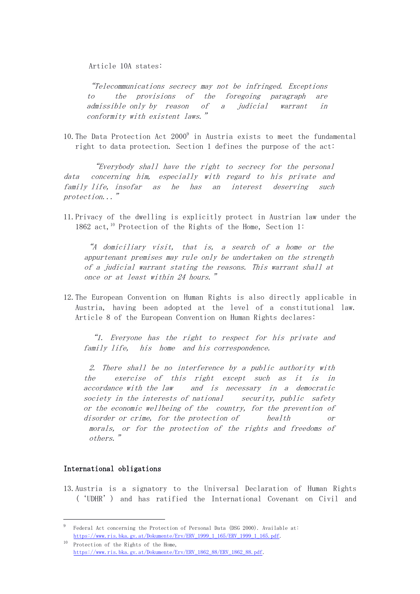Article 10A states:

"Telecommunications secrecy may not be infringed. Exceptions to the provisions of the foregoing paragraph are admissible only by reason of a judicial warrant in conformity with existent laws."

10. The Data Protection Act 2000<sup>9</sup> in Austria exists to meet the fundamental right to data protection. Section 1 defines the purpose of the act:

"Everybody shall have the right to secrecy for the personal data concerning him, especially with regard to his private and family life, insofar as he has an interest deserving such protection..."

11.Privacy of the dwelling is explicitly protect in Austrian law under the 1862 act,<sup>10</sup> Protection of the Rights of the Home, Section 1:

"A domiciliary visit, that is, a search of a home or the appurtenant premises may rule only be undertaken on the strength of a judicial warrant stating the reasons. This warrant shall at once or at least within 24 hours."

12.The European Convention on Human Rights is also directly applicable in Austria, having been adopted at the level of a constitutional law. Article 8 of the European Convention on Human Rights declares:

"1. Everyone has the right to respect for his private and family life, his home and his correspondence.

2. There shall be no interference by a public authority with the exercise of this right except such as it is in accordance with the law and is necessary in a democratic society in the interests of national security, public safety or the economic wellbeing of the country, for the prevention of disorder or crime, for the protection of health or morals, or for the protection of the rights and freedoms of others."

# International obligations

<u>.</u>

13.Austria is a signatory to the Universal Declaration of Human Rights ('UDHR') and has ratified the International Covenant on Civil and

<sup>9</sup> Federal Act concerning the Protection of Personal Data (DSG 2000). Available at: [https://www.ris.bka.gv.at/Dokumente/Erv/ERV\\_1999\\_1\\_165/ERV\\_1999\\_1\\_165.pdf.](https://www.ris.bka.gv.at/Dokumente/Erv/ERV_1999_1_165/ERV_1999_1_165.pdf)

<sup>10</sup> Protection of the Rights of the Home, [https://www.ris.bka.gv.at/Dokumente/Erv/ERV\\_1862\\_88/ERV\\_1862\\_88.pdf.](https://www.ris.bka.gv.at/Dokumente/Erv/ERV_1862_88/ERV_1862_88.pdf)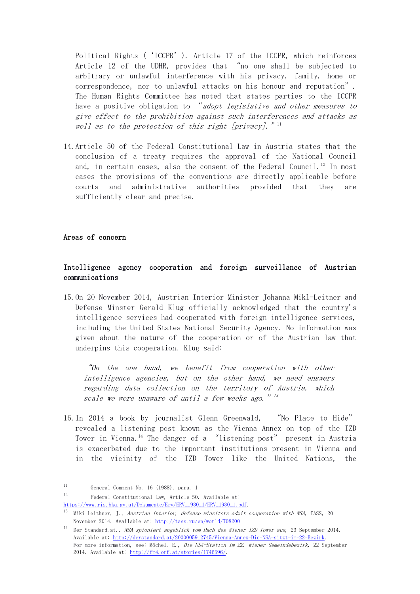Political Rights ('ICCPR'). Article 17 of the ICCPR, which reinforces Article 12 of the UDHR, provides that "no one shall be subjected to arbitrary or unlawful interference with his privacy, family, home or correspondence, nor to unlawful attacks on his honour and reputation". The Human Rights Committee has noted that states parties to the ICCPR have a positive obligation to "adopt legislative and other measures to give effect to the prohibition against such interferences and attacks as well as to the protection of this right [privacy].  $"$ <sup>11</sup>

14.Article 50 of the Federal Constitutional Law in Austria states that the conclusion of a treaty requires the approval of the National Council and, in certain cases, also the consent of the Federal Council.<sup>12</sup> In most cases the provisions of the conventions are directly applicable before courts and administrative authorities provided that they are sufficiently clear and precise.

## Areas of concern

# Intelligence agency cooperation and foreign surveillance of Austrian communications

15.On 20 November 2014, Austrian Interior Minister Johanna Mikl-Leitner and Defense Minster Gerald Klug officially acknowledged that the country's intelligence services had cooperated with foreign intelligence services, including the United States National Security Agency. No information was given about the nature of the cooperation or of the Austrian law that underpins this cooperation. Klug said:

"On the one hand, we benefit from cooperation with other intelligence agencies, but on the other hand, we need answers regarding data collection on the territory of Austria, which scale we were unaware of until a few weeks ago.  $"$   $^{13}$ 

16.In 2014 a book by journalist Glenn Greenwald, "No Place to Hide" revealed a listening post known as the Vienna Annex on top of the IZD Tower in Vienna.<sup>14</sup> The danger of a "listening post" present in Austria is exacerbated due to the important institutions present in Vienna and in the vicinity of the IZD Tower like the United Nations, the

<u>.</u>

<sup>12</sup> Federal Constitutional Law, Article 50. Available at:

[https://www.ris.bka.gv.at/Dokumente/Erv/ERV\\_1930\\_1/ERV\\_1930\\_1.pdf.](https://www.ris.bka.gv.at/Dokumente/Erv/ERV_1930_1/ERV_1930_1.pdf)

<sup>11</sup> General Comment No. 16 (1988), para. 1

<sup>13</sup> Miki-Leithner, J., Austrian interior, defense minsiters admit cooperation with NSA, TASS, 20 November 2014. Available at:<http://tass.ru/en/world/708200>

<sup>14</sup> Der Standard.at., NSA spioniert angeblich vom Dach des Wiener IZD Tower aus, 23 September 2014. Available at: [http://derstandard.at/2000005912745/Vienna-Annex-Die-NSA-sitzt-im-22-Bezirk.](http://derstandard.at/2000005912745/Vienna-Annex-Die-NSA-sitzt-im-22-Bezirk) For more information, see: Möchel. E., Die NSA-Station im 22. Wiener Gemeindebezirk, 22 September 2014. Available at: [http://fm4.orf.at/stories/1746596/.](http://fm4.orf.at/stories/1746596/)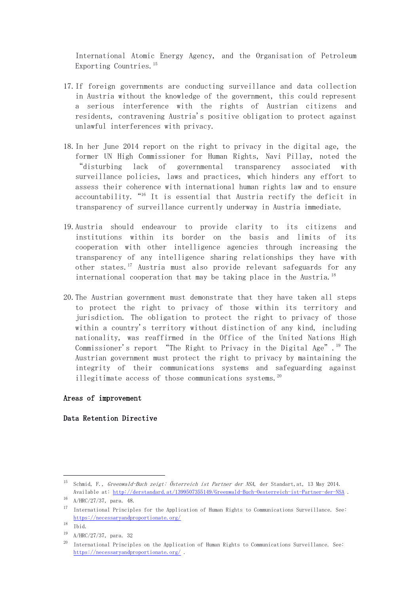International Atomic Energy Agency, and the Organisation of Petroleum Exporting Countries.<sup>15</sup>

- 17.If foreign governments are conducting surveillance and data collection in Austria without the knowledge of the government, this could represent a serious interference with the rights of Austrian citizens and residents, contravening Austria's positive obligation to protect against unlawful interferences with privacy.
- 18.In her June 2014 report on the right to privacy in the digital age, the former UN High Commissioner for Human Rights, Navi Pillay, noted the "disturbing lack of governmental transparency associated with surveillance policies, laws and practices, which hinders any effort to assess their coherence with international human rights law and to ensure accountability. "<sup>16</sup> It is essential that Austria rectify the deficit in transparency of surveillance currently underway in Austria immediate.
- 19.Austria should endeavour to provide clarity to its citizens and institutions within its border on the basis and limits of its cooperation with other intelligence agencies through increasing the transparency of any intelligence sharing relationships they have with other states.<sup>17</sup> Austria must also provide relevant safeguards for any international cooperation that may be taking place in the Austria.<sup>18</sup>
- 20.The Austrian government must demonstrate that they have taken all steps to protect the right to privacy of those within its territory and jurisdiction. The obligation to protect the right to privacy of those within a country's territory without distinction of any kind, including nationality, was reaffirmed in the Office of the United Nations High Commissioner's report "The Right to Privacy in the Digital Age".<sup>19</sup> The Austrian government must protect the right to privacy by maintaining the integrity of their communications systems and safeguarding against illegitimate access of those communications systems.<sup>20</sup>

### Areas of improvement

#### Data Retention Directive

<u>.</u>

<sup>&</sup>lt;sup>15</sup> Schmid, F., Greenwald-Buch zeigt: Österreich ist Partner der NSA, der Standart, at, 13 May 2014. Available at:<http://derstandard.at/1399507355149/Greenwald-Buch-Oesterreich-ist-Partner-der-NSA> .

<sup>16</sup> A/HRC/27/37, para. 48.

<sup>17</sup> International Principles for the Application of Human Rights to Communications Surveillance. See: <https://necessaryandproportionate.org/>

<sup>18</sup> Ibid.

<sup>19</sup> A/HRC/27/37, para. 32

 $^{20}$  International Principles on the Application of Human Rights to Communications Surveillance. See: <https://necessaryandproportionate.org/> .